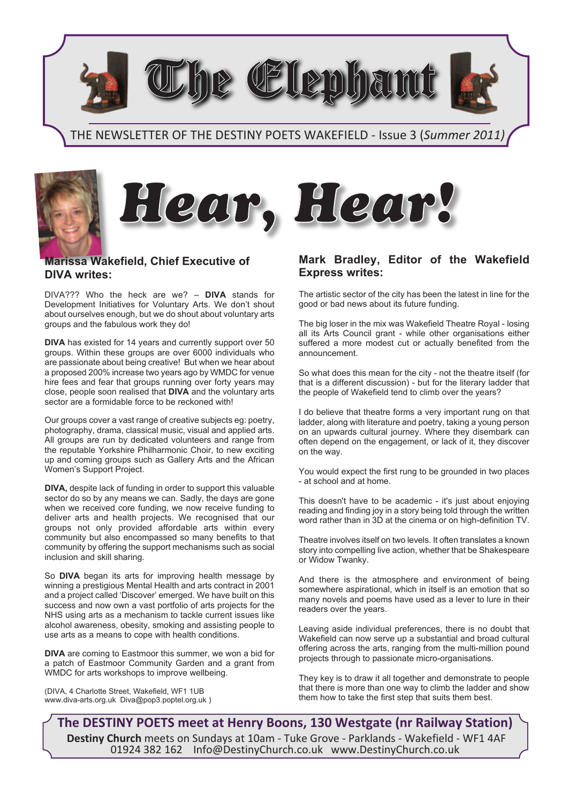emham

## THE NEWSLETTER OF THE DESTINY POETS WAKEFIELD - Issue 3 (*Summer 2011)*







DIVA??? Who the heck are we? – **DIVA** stands for Development Initiatives for Voluntary Arts. We don't shout about ourselves enough, but we do shout about voluntary arts groups and the fabulous work they do!

**DIVA** has existed for 14 years and currently support over 50 groups. Within these groups are over 6000 individuals who are passionate about being creative! But when we hear about a proposed 200% increase two years ago by WMDC for venue hire fees and fear that groups running over forty years may close, people soon realised that **DIVA** and the voluntary arts sector are a formidable force to be reckoned with!

Our groups cover a vast range of creative subjects eg: poetry, photography, drama, classical music, visual and applied arts. All groups are run by dedicated volunteers and range from the reputable Yorkshire Philharmonic Choir, to new exciting up and coming groups such as Gallery Arts and the African Women's Support Project.

**DIVA,** despite lack of funding in order to support this valuable sector do so by any means we can. Sadly, the days are gone when we received core funding, we now receive funding to deliver arts and health projects. We recognised that our groups not only provided affordable arts within every community but also encompassed so many benefits to that community by offering the support mechanisms such as social inclusion and skill sharing.

So **DIVA** began its arts for improving health message by winning a prestigious Mental Health and arts contract in 2001 and a project called 'Discover' emerged. We have built on this success and now own a vast portfolio of arts projects for the NHS using arts as a mechanism to tackle current issues like alcohol awareness, obesity, smoking and assisting people to use arts as a means to cope with health conditions.

**DIVA** are coming to Eastmoor this summer, we won a bid for a patch of Eastmoor Community Garden and a grant from WMDC for arts workshops to improve wellbeing.

(DIVA, 4 Charlotte Street, Wakefield, WF1 1UB www.diva-arts.org.uk Diva@pop3.poptel.org.uk )

## **Mark Bradley, Editor of the Wakefield Express writes:**

The artistic sector of the city has been the latest in line for the good or bad news about its future funding.

The big loser in the mix was Wakefield Theatre Royal - losing all its Arts Council grant - while other organisations either suffered a more modest cut or actually benefited from the announcement.

So what does this mean for the city - not the theatre itself (for that is a different discussion) - but for the literary ladder that the people of Wakefield tend to climb over the years?

I do believe that theatre forms a very important rung on that ladder, along with literature and poetry, taking a young person on an upwards cultural journey. Where they disembark can often depend on the engagement, or lack of it, they discover on the way.

You would expect the first rung to be grounded in two places - at school and at home.

This doesn't have to be academic - it's just about enjoying reading and finding joy in a story being told through the written word rather than in 3D at the cinema or on high-definition TV.

Theatre involves itself on two levels. It often translates a known story into compelling live action, whether that be Shakespeare or Widow Twanky.

And there is the atmosphere and environment of being somewhere aspirational, which in itself is an emotion that so many novels and poems have used as a lever to lure in their readers over the years.

Leaving aside individual preferences, there is no doubt that Wakefield can now serve up a substantial and broad cultural offering across the arts, ranging from the multi-million pound projects through to passionate micro-organisations.

They key is to draw it all together and demonstrate to people that there is more than one way to climb the ladder and show them how to take the first step that suits them best.

**The DESTINY POETS meet at Henry Boons, 130 Westgate (nr Railway Station) Destiny Church** meets on Sundays at 10am - Tuke Grove - Parklands - Wakefield - WF1 4AF 01924 382 162 Info@DestinyChurch.co.uk www.DestinyChurch.co.uk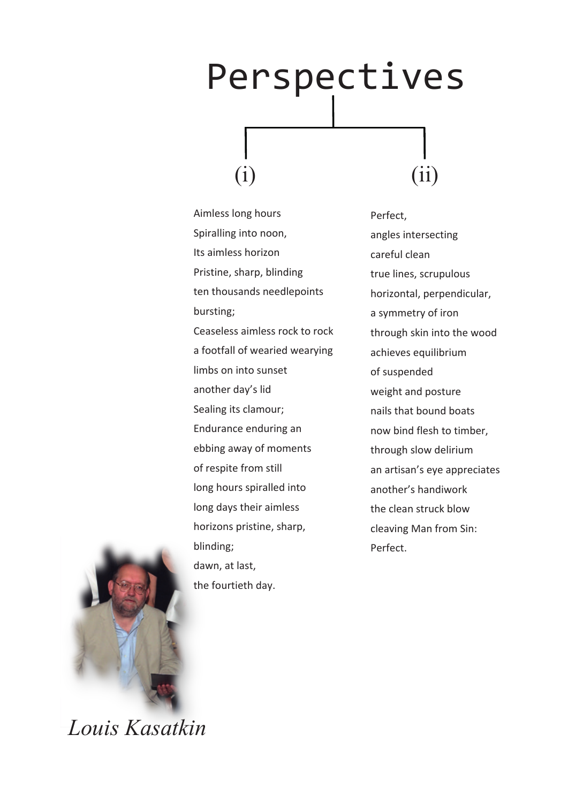## Perspectives  $(i)$   $(ii)$

Aimless long hours Spiralling into noon, Its aimless horizon Pristine, sharp, blinding ten thousands needlepoints bursting; Ceaseless aimless rock to rock a footfall of wearied wearying limbs on into sunset another day's lid Sealing its clamour; Endurance enduring an ebbing away of moments of respite from still long hours spiralled into long days their aimless horizons pristine, sharp, blinding; dawn, at last, the fourtieth day.

Perfect, angles intersecting careful clean true lines, scrupulous horizontal, perpendicular, a symmetry of iron through skin into the wood achieves equilibrium of suspended weight and posture nails that bound boats now bind flesh to timber, through slow delirium an artisan's eye appreciates another's handiwork the clean struck blow cleaving Man from Sin: Perfect.



*Louis Kasatkin*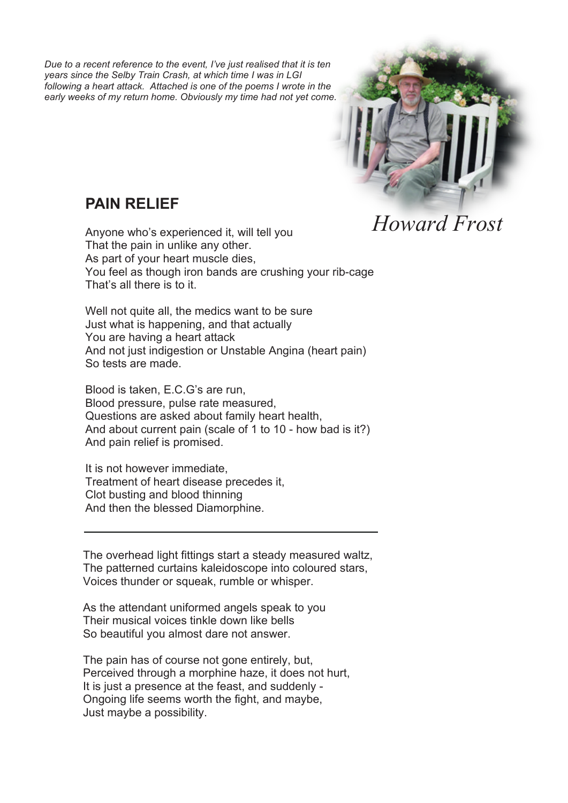*Due to a recent reference to the event, I've just realised that it is ten years since the Selby Train Crash, at which time I was in LGI following a heart attack. Attached is one of the poems I wrote in the early weeks of my return home. Obviously my time had not yet come.*



## **PAIN RELIEF**

Anyone who's experienced it, will tell you That the pain in unlike any other. As part of your heart muscle dies, You feel as though iron bands are crushing your rib-cage That's all there is to it. *Howard Frost*

Well not quite all, the medics want to be sure Just what is happening, and that actually You are having a heart attack And not just indigestion or Unstable Angina (heart pain) So tests are made.

Blood is taken, E.C.G's are run, Blood pressure, pulse rate measured, Questions are asked about family heart health, And about current pain (scale of 1 to 10 - how bad is it?) And pain relief is promised.

It is not however immediate, Treatment of heart disease precedes it, Clot busting and blood thinning And then the blessed Diamorphine.

The overhead light fittings start a steady measured waltz, The patterned curtains kaleidoscope into coloured stars, Voices thunder or squeak, rumble or whisper.

As the attendant uniformed angels speak to you Their musical voices tinkle down like bells So beautiful you almost dare not answer.

The pain has of course not gone entirely, but, Perceived through a morphine haze, it does not hurt, It is just a presence at the feast, and suddenly - Ongoing life seems worth the fight, and maybe, Just maybe a possibility.